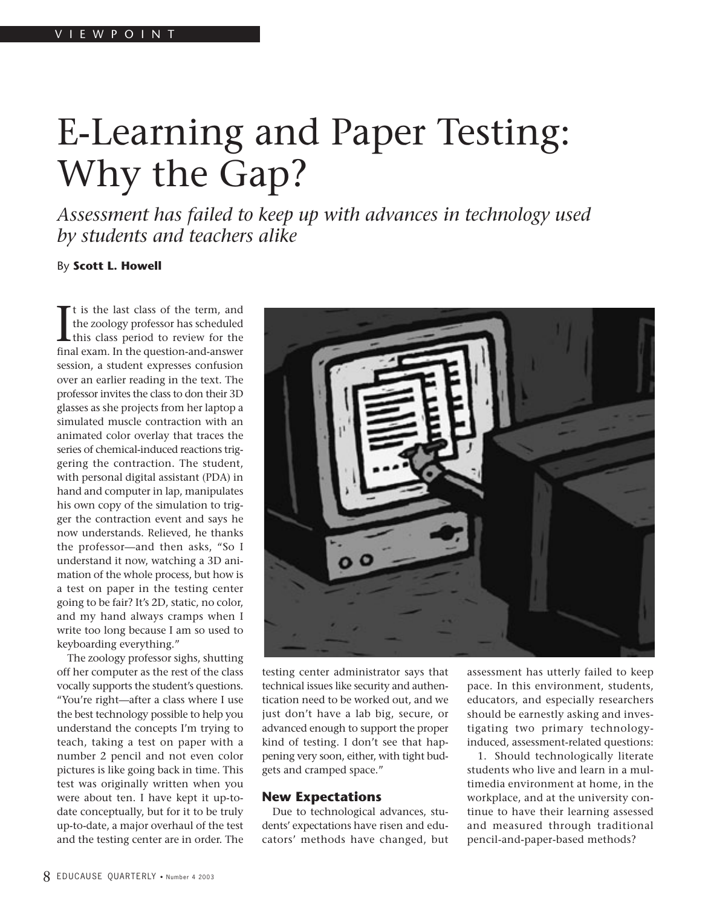# E-Learning and Paper Testing: Why the Gap?

*Assessment has failed to keep up with advances in technology used by students and teachers alike*

By **Scott L. Howell**

It is the last class of the term, and<br>the zoology professor has scheduled<br>this class period to review for the<br>final exam. In the question-and-answer t is the last class of the term, and the zoology professor has scheduled this class period to review for the session, a student expresses confusion over an earlier reading in the text. The professor invites the class to don their 3D glasses as she projects from her laptop a simulated muscle contraction with an animated color overlay that traces the series of chemical-induced reactions triggering the contraction. The student, with personal digital assistant (PDA) in hand and computer in lap, manipulates his own copy of the simulation to trigger the contraction event and says he now understands. Relieved, he thanks the professor—and then asks, "So I understand it now, watching a 3D animation of the whole process, but how is a test on paper in the testing center going to be fair? It's 2D, static, no color, and my hand always cramps when I write too long because I am so used to keyboarding everything."

The zoology professor sighs, shutting off her computer as the rest of the class vocally supports the student's questions. "You're right—after a class where I use the best technology possible to help you understand the concepts I'm trying to teach, taking a test on paper with a number 2 pencil and not even color pictures is like going back in time. This test was originally written when you were about ten. I have kept it up-todate conceptually, but for it to be truly up-to-date, a major overhaul of the test and the testing center are in order. The



testing center administrator says that technical issues like security and authentication need to be worked out, and we just don't have a lab big, secure, or advanced enough to support the proper kind of testing. I don't see that happening very soon, either, with tight budgets and cramped space."

#### **New Expectations**

Due to technological advances, students' expectations have risen and educators' methods have changed, but assessment has utterly failed to keep pace. In this environment, students, educators, and especially researchers should be earnestly asking and investigating two primary technologyinduced, assessment-related questions:

1. Should technologically literate students who live and learn in a multimedia environment at home, in the workplace, and at the university continue to have their learning assessed and measured through traditional pencil-and-paper-based methods?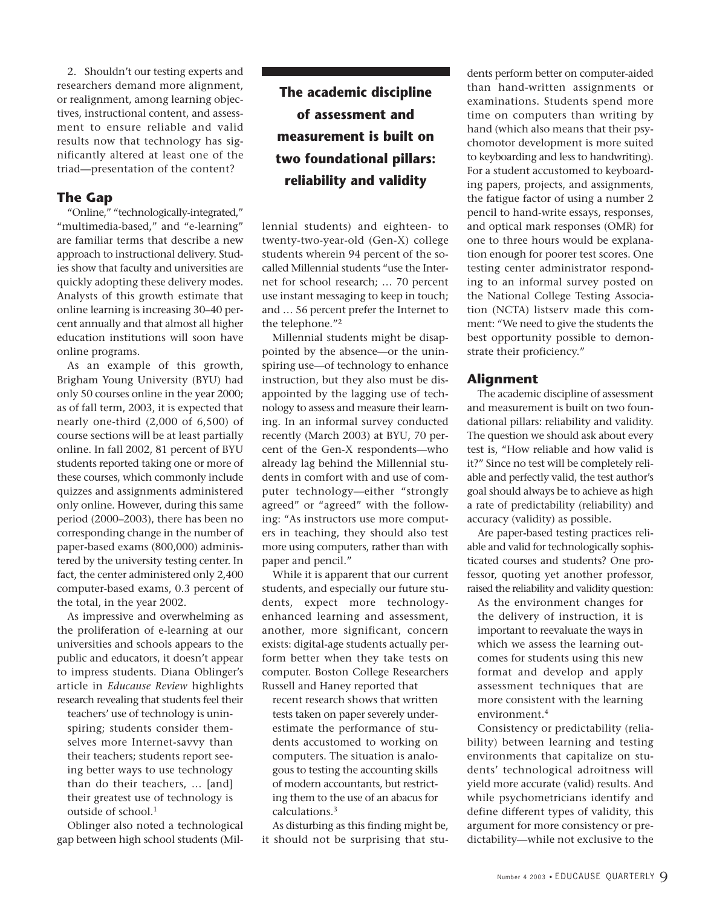2. Shouldn't our testing experts and researchers demand more alignment, or realignment, among learning objectives, instructional content, and assessment to ensure reliable and valid results now that technology has significantly altered at least one of the triad—presentation of the content?

## **The Gap**

"Online," "technologically-integrated," "multimedia-based," and "e-learning" are familiar terms that describe a new approach to instructional delivery. Studies show that faculty and universities are quickly adopting these delivery modes. Analysts of this growth estimate that online learning is increasing 30–40 percent annually and that almost all higher education institutions will soon have online programs.

As an example of this growth, Brigham Young University (BYU) had only 50 courses online in the year 2000; as of fall term, 2003, it is expected that nearly one-third (2,000 of 6,500) of course sections will be at least partially online. In fall 2002, 81 percent of BYU students reported taking one or more of these courses, which commonly include quizzes and assignments administered only online. However, during this same period (2000–2003), there has been no corresponding change in the number of paper-based exams (800,000) administered by the university testing center. In fact, the center administered only 2,400 computer-based exams, 0.3 percent of the total, in the year 2002.

As impressive and overwhelming as the proliferation of e-learning at our universities and schools appears to the public and educators, it doesn't appear to impress students. Diana Oblinger's article in *Educause Review* highlights research revealing that students feel their

teachers' use of technology is uninspiring; students consider themselves more Internet-savvy than their teachers; students report seeing better ways to use technology than do their teachers, … [and] their greatest use of technology is outside of school.<sup>1</sup>

Oblinger also noted a technological gap between high school students (Mil-

**The academic discipline of assessment and measurement is built on two foundational pillars: reliability and validity**

lennial students) and eighteen- to twenty-two-year-old (Gen-X) college students wherein 94 percent of the socalled Millennial students "use the Internet for school research; … 70 percent use instant messaging to keep in touch; and … 56 percent prefer the Internet to the telephone."2

Millennial students might be disappointed by the absence—or the uninspiring use—of technology to enhance instruction, but they also must be disappointed by the lagging use of technology to assess and measure their learning. In an informal survey conducted recently (March 2003) at BYU, 70 percent of the Gen-X respondents—who already lag behind the Millennial students in comfort with and use of computer technology—either "strongly agreed" or "agreed" with the following: "As instructors use more computers in teaching, they should also test more using computers, rather than with paper and pencil."

While it is apparent that our current students, and especially our future students, expect more technologyenhanced learning and assessment, another, more significant, concern exists: digital-age students actually perform better when they take tests on computer. Boston College Researchers Russell and Haney reported that

recent research shows that written tests taken on paper severely underestimate the performance of students accustomed to working on computers. The situation is analogous to testing the accounting skills of modern accountants, but restricting them to the use of an abacus for calculations.3

As disturbing as this finding might be, it should not be surprising that students perform better on computer-aided than hand-written assignments or examinations. Students spend more time on computers than writing by hand (which also means that their psychomotor development is more suited to keyboarding and less to handwriting). For a student accustomed to keyboarding papers, projects, and assignments, the fatigue factor of using a number 2 pencil to hand-write essays, responses, and optical mark responses (OMR) for one to three hours would be explanation enough for poorer test scores. One testing center administrator responding to an informal survey posted on the National College Testing Association (NCTA) listserv made this comment: "We need to give the students the best opportunity possible to demonstrate their proficiency."

## **Alignment**

The academic discipline of assessment and measurement is built on two foundational pillars: reliability and validity. The question we should ask about every test is, "How reliable and how valid is it?" Since no test will be completely reliable and perfectly valid, the test author's goal should always be to achieve as high a rate of predictability (reliability) and accuracy (validity) as possible.

Are paper-based testing practices reliable and valid for technologically sophisticated courses and students? One professor, quoting yet another professor, raised the reliability and validity question:

As the environment changes for the delivery of instruction, it is important to reevaluate the ways in which we assess the learning outcomes for students using this new format and develop and apply assessment techniques that are more consistent with the learning environment.4

Consistency or predictability (reliability) between learning and testing environments that capitalize on students' technological adroitness will yield more accurate (valid) results. And while psychometricians identify and define different types of validity, this argument for more consistency or predictability—while not exclusive to the